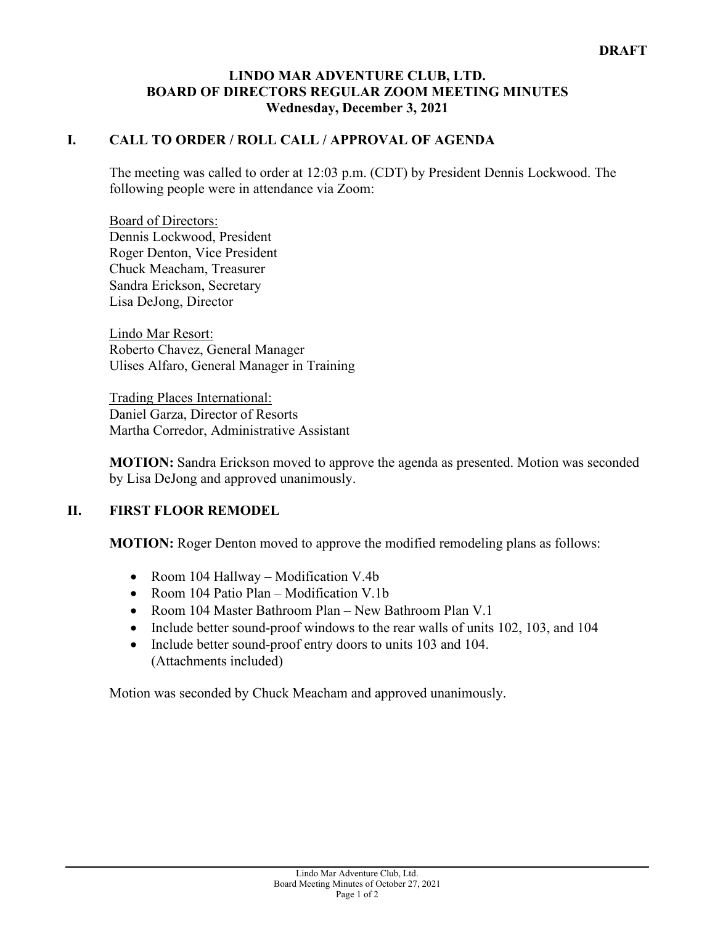## **LINDO MAR ADVENTURE CLUB, LTD. BOARD OF DIRECTORS REGULAR ZOOM MEETING MINUTES Wednesday, December 3, 2021**

## **I. CALL TO ORDER / ROLL CALL / APPROVAL OF AGENDA**

The meeting was called to order at 12:03 p.m. (CDT) by President Dennis Lockwood. The following people were in attendance via Zoom:

Board of Directors: Dennis Lockwood, President Roger Denton, Vice President Chuck Meacham, Treasurer Sandra Erickson, Secretary Lisa DeJong, Director

Lindo Mar Resort: Roberto Chavez, General Manager Ulises Alfaro, General Manager in Training

Trading Places International: Daniel Garza, Director of Resorts Martha Corredor, Administrative Assistant

**MOTION:** Sandra Erickson moved to approve the agenda as presented. Motion was seconded by Lisa DeJong and approved unanimously.

## **II. FIRST FLOOR REMODEL**

**MOTION:** Roger Denton moved to approve the modified remodeling plans as follows:

- Room 104 Hallway Modification V.4b
- Room 104 Patio Plan Modification V.1b
- Room 104 Master Bathroom Plan New Bathroom Plan V.1
- Include better sound-proof windows to the rear walls of units 102, 103, and 104
- Include better sound-proof entry doors to units 103 and 104. (Attachments included)

Motion was seconded by Chuck Meacham and approved unanimously.